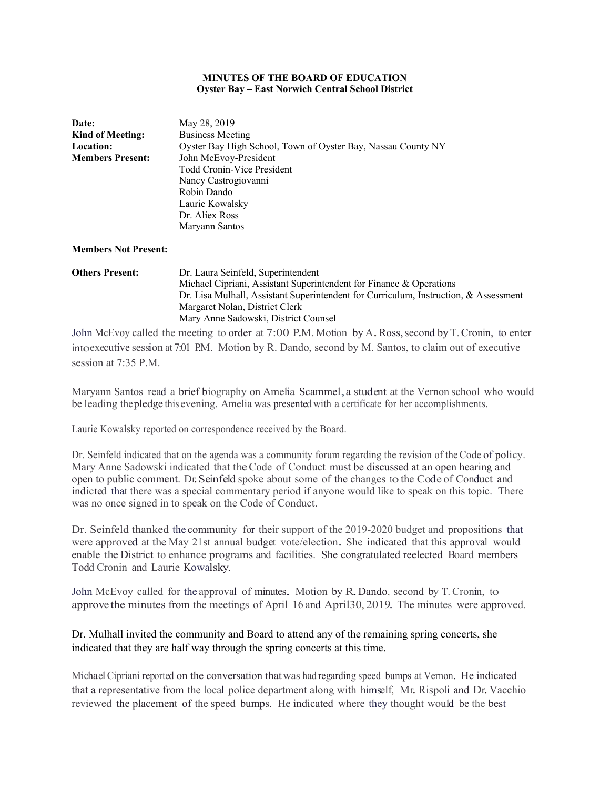#### **MINUTES OF THE BOARD OF EDUCATION Oyster Bay – East Norwich Central School District**

| Date:                       | May 28, 2019                                                 |  |  |
|-----------------------------|--------------------------------------------------------------|--|--|
| <b>Kind of Meeting:</b>     | <b>Business Meeting</b>                                      |  |  |
| <b>Location:</b>            | Oyster Bay High School, Town of Oyster Bay, Nassau County NY |  |  |
| <b>Members Present:</b>     | John McEvoy-President                                        |  |  |
|                             | Todd Cronin-Vice President                                   |  |  |
|                             | Nancy Castrogiovanni                                         |  |  |
|                             | Robin Dando                                                  |  |  |
|                             | Laurie Kowalsky                                              |  |  |
|                             | Dr. Aliex Ross                                               |  |  |
|                             | Maryann Santos                                               |  |  |
|                             |                                                              |  |  |
| <b>Members Not Present:</b> |                                                              |  |  |

# **Others Present:** Dr. Laura Seinfeld, Superintendent Michael Cipriani, Assistant Superintendent for Finance & Operations Dr. Lisa Mulhall, Assistant Superintendent for Curriculum, Instruction, & Assessment Margaret Nolan, District Clerk Mary Anne Sadowski, District Counsel

John McEvoy called the meeting to order at 7:00 P.M. Motion by A.Ross, second by T. Cronin, to enter into executive session at 7:01 P.M. Motion by R. Dando, second by M. Santos, to claim out of executive session at 7:35 P.M.

Maryann Santos read a brief biography on Amelia Scammel,a student at the Vernon school who would be leading thepledge this evening. Amelia was presented with a certificate for her accomplishments.

Laurie Kowalsky reported on correspondence received by the Board.

Dr. Seinfeld indicated that on the agenda was a community forum regarding the revision of the Code of policy. Mary Anne Sadowski indicated that the Code of Conduct must be discussed at an open hearing and open to public comment. Dr.Seinfeld spoke about some of the changes to the Code of Conduct and indicted that there was a special commentary period if anyone would like to speak on this topic. There was no once signed in to speak on the Code of Conduct.

Dr. Seinfeld thanked the community for their support of the 2019-2020 budget and propositions that were approved at the May 21st annual budget vote/election. She indicated that this approval would enable the District to enhance programs and facilities. She congratulated reelected Board members Todd Cronin and Laurie Kowalsky.

John McEvoy called for the approval of minutes. Motion by R. Dando, second by T. Cronin, to approve the minutes from the meetings of April 16 and April30, 2019. The minutes were approved.

# Dr. Mulhall invited the community and Board to attend any of the remaining spring concerts, she indicated that they are half way through the spring concerts at this time.

Michael Cipriani reported on the conversation thatwas had regarding speed bumps at Vernon. He indicated that a representative from the local police department along with himself, Mr. Rispoli and Dr.Vacchio reviewed the placement of the speed bumps. He indicated where they thought would be the best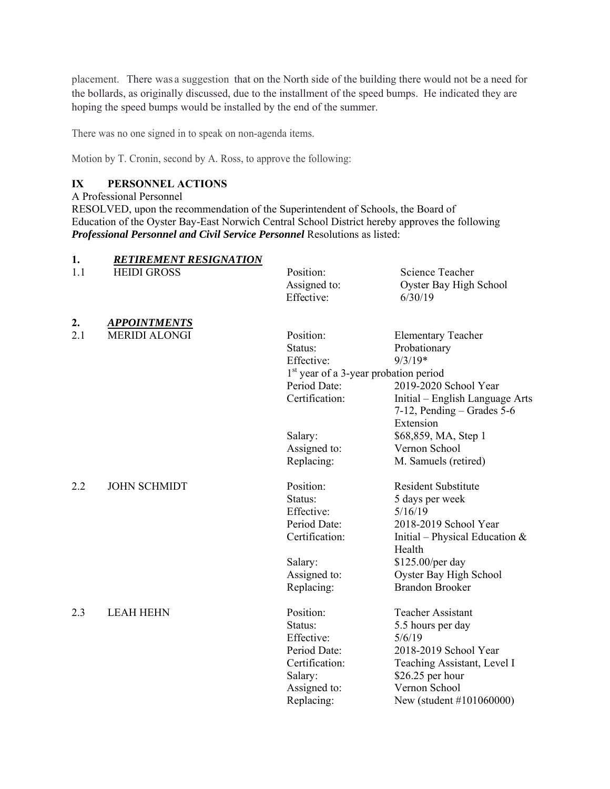placement. There was a suggestion that on the North side of the building there would not be a need for the bollards, as originally discussed, due to the installment of the speed bumps. He indicated they are hoping the speed bumps would be installed by the end of the summer.

There was no one signed in to speak on non-agenda items.

Motion by T. Cronin, second by A. Ross, to approve the following:

# **IX PERSONNEL ACTIONS**

A Professional Personnel

RESOLVED, upon the recommendation of the Superintendent of Schools, the Board of Education of the Oyster Bay-East Norwich Central School District hereby approves the following *Professional Personnel and Civil Service Personnel* Resolutions as listed:

| 1.        | <b>RETIREMENT RESIGNATION</b>               |                                                         |                                  |
|-----------|---------------------------------------------|---------------------------------------------------------|----------------------------------|
| 1.1       | <b>HEIDI GROSS</b>                          | Position:                                               | <b>Science Teacher</b>           |
|           |                                             | Assigned to:                                            | Oyster Bay High School           |
|           |                                             | Effective:                                              | 6/30/19                          |
|           |                                             |                                                         |                                  |
| 2.<br>2.1 | <b>APPOINTMENTS</b><br><b>MERIDI ALONGI</b> | Position:                                               |                                  |
|           |                                             | Status:                                                 | <b>Elementary Teacher</b>        |
|           |                                             | Effective:                                              | Probationary<br>$9/3/19*$        |
|           |                                             |                                                         |                                  |
|           |                                             | $1st$ year of a 3-year probation period<br>Period Date: |                                  |
|           |                                             |                                                         | 2019-2020 School Year            |
|           |                                             | Certification:                                          | Initial – English Language Arts  |
|           |                                             |                                                         | $7-12$ , Pending – Grades 5-6    |
|           |                                             |                                                         | Extension                        |
|           |                                             | Salary:                                                 | \$68,859, MA, Step 1             |
|           |                                             | Assigned to:                                            | Vernon School                    |
|           |                                             | Replacing:                                              | M. Samuels (retired)             |
| 2.2       | <b>JOHN SCHMIDT</b>                         | Position:                                               | <b>Resident Substitute</b>       |
|           |                                             | Status:                                                 | 5 days per week                  |
|           |                                             | Effective:                                              | 5/16/19                          |
|           |                                             | Period Date:                                            | 2018-2019 School Year            |
|           |                                             | Certification:                                          | Initial – Physical Education $&$ |
|           |                                             |                                                         | Health                           |
|           |                                             | Salary:                                                 | \$125.00/per day                 |
|           |                                             | Assigned to:                                            | Oyster Bay High School           |
|           |                                             | Replacing:                                              | <b>Brandon Brooker</b>           |
| 2.3       | <b>LEAH HEHN</b>                            | Position:                                               | Teacher Assistant                |
|           |                                             | Status:                                                 | 5.5 hours per day                |
|           |                                             | Effective:                                              | 5/6/19                           |
|           |                                             | Period Date:                                            | 2018-2019 School Year            |
|           |                                             | Certification:                                          | Teaching Assistant, Level I      |
|           |                                             | Salary:                                                 | \$26.25 per hour                 |
|           |                                             | Assigned to:                                            | Vernon School                    |
|           |                                             | Replacing:                                              | New (student #101060000)         |
|           |                                             |                                                         |                                  |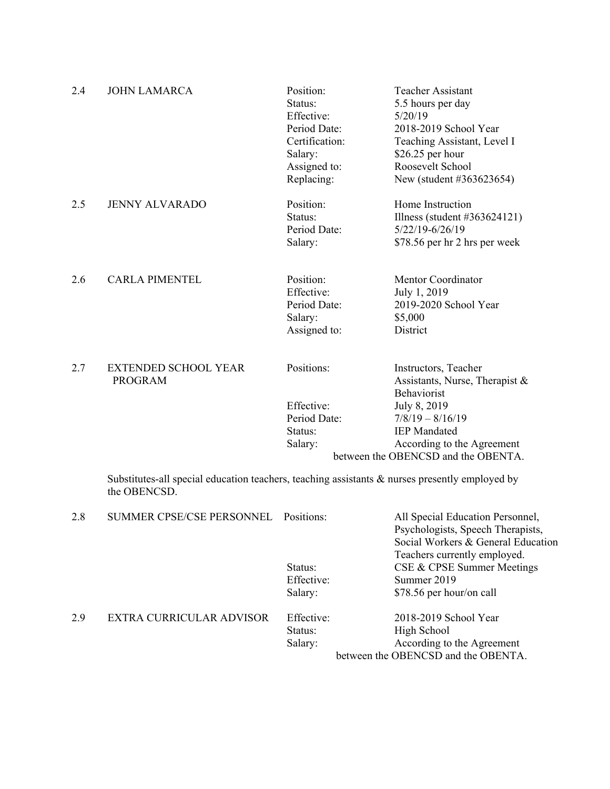| 2.4 | <b>JOHN LAMARCA</b>                           | Position:<br>Status:<br>Effective:<br>Period Date:<br>Certification:<br>Salary:<br>Assigned to:<br>Replacing: | Teacher Assistant<br>5.5 hours per day<br>5/20/19<br>2018-2019 School Year<br>Teaching Assistant, Level I<br>\$26.25 per hour<br>Roosevelt School<br>New (student #363623654) |
|-----|-----------------------------------------------|---------------------------------------------------------------------------------------------------------------|-------------------------------------------------------------------------------------------------------------------------------------------------------------------------------|
| 2.5 | <b>JENNY ALVARADO</b>                         | Position:<br>Status:<br>Period Date:<br>Salary:                                                               | Home Instruction<br>Illness (student $\#363624121$ )<br>$5/22/19 - 6/26/19$<br>\$78.56 per hr 2 hrs per week                                                                  |
| 2.6 | <b>CARLA PIMENTEL</b>                         | Position:<br>Effective:<br>Period Date:<br>Salary:<br>Assigned to:                                            | Mentor Coordinator<br>July 1, 2019<br>2019-2020 School Year<br>\$5,000<br>District                                                                                            |
| 2.7 | <b>EXTENDED SCHOOL YEAR</b><br><b>PROGRAM</b> | Positions:<br>Effective:                                                                                      | Instructors, Teacher<br>Assistants, Nurse, Therapist &<br>Behaviorist<br>July 8, 2019                                                                                         |
|     |                                               | Period Date:                                                                                                  | $7/8/19 - 8/16/19$                                                                                                                                                            |
|     |                                               | Status:                                                                                                       | <b>IEP</b> Mandated                                                                                                                                                           |
|     |                                               | Salary:                                                                                                       | According to the Agreement                                                                                                                                                    |

 Substitutes-all special education teachers, teaching assistants & nurses presently employed by the OBENCSD.

between the OBENCSD and the OBENTA.

| 2.8 | SUMMER CPSE/CSE PERSONNEL Positions: |                                  | All Special Education Personnel,<br>Psychologists, Speech Therapists,<br>Social Workers & General Education<br>Teachers currently employed. |
|-----|--------------------------------------|----------------------------------|---------------------------------------------------------------------------------------------------------------------------------------------|
|     |                                      | Status:<br>Effective:<br>Salary: | CSE & CPSE Summer Meetings<br>Summer 2019<br>\$78.56 per hour/on call                                                                       |
| 2.9 | EXTRA CURRICULAR ADVISOR             | Effective:<br>Status:<br>Salary: | 2018-2019 School Year<br>High School<br>According to the Agreement<br>between the OBENCSD and the OBENTA.                                   |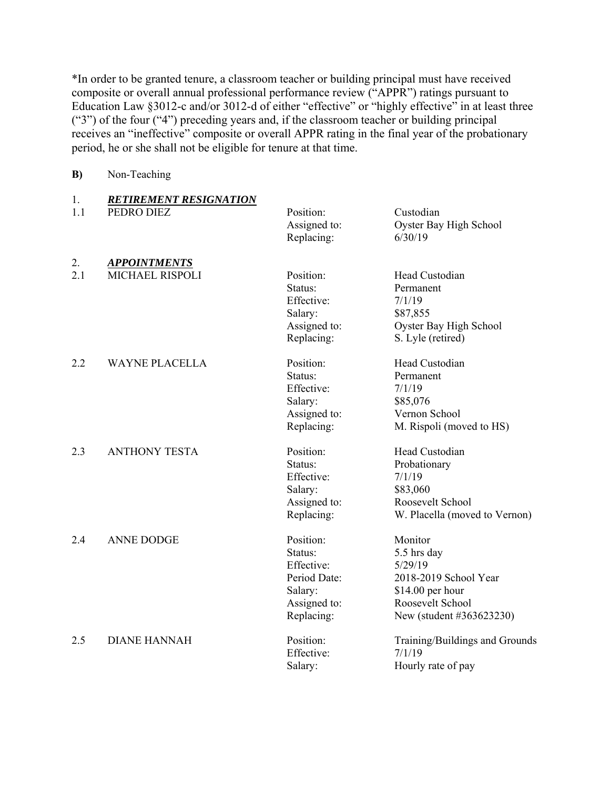\*In order to be granted tenure, a classroom teacher or building principal must have received composite or overall annual professional performance review ("APPR") ratings pursuant to Education Law §3012-c and/or 3012-d of either "effective" or "highly effective" in at least three ("3") of the four ("4") preceding years and, if the classroom teacher or building principal receives an "ineffective" composite or overall APPR rating in the final year of the probationary period, he or she shall not be eligible for tenure at that time.

**B)** Non-Teaching

| 1.  | <b>RETIREMENT RESIGNATION</b> |              |                                |
|-----|-------------------------------|--------------|--------------------------------|
| 1.1 | PEDRO DIEZ                    | Position:    | Custodian                      |
|     |                               | Assigned to: | Oyster Bay High School         |
|     |                               | Replacing:   | 6/30/19                        |
| 2.  | <b>APPOINTMENTS</b>           |              |                                |
| 2.1 | <b>MICHAEL RISPOLI</b>        | Position:    | Head Custodian                 |
|     |                               | Status:      | Permanent                      |
|     |                               | Effective:   | 7/1/19                         |
|     |                               | Salary:      | \$87,855                       |
|     |                               | Assigned to: | Oyster Bay High School         |
|     |                               | Replacing:   | S. Lyle (retired)              |
| 2.2 | <b>WAYNE PLACELLA</b>         | Position:    | Head Custodian                 |
|     |                               | Status:      | Permanent                      |
|     |                               | Effective:   | 7/1/19                         |
|     |                               | Salary:      | \$85,076                       |
|     |                               | Assigned to: | Vernon School                  |
|     |                               | Replacing:   | M. Rispoli (moved to HS)       |
| 2.3 | <b>ANTHONY TESTA</b>          | Position:    | Head Custodian                 |
|     |                               | Status:      | Probationary                   |
|     |                               | Effective:   | 7/1/19                         |
|     |                               | Salary:      | \$83,060                       |
|     |                               | Assigned to: | Roosevelt School               |
|     |                               | Replacing:   | W. Placella (moved to Vernon)  |
| 2.4 | <b>ANNE DODGE</b>             | Position:    | Monitor                        |
|     |                               | Status:      | 5.5 hrs day                    |
|     |                               | Effective:   | 5/29/19                        |
|     |                               | Period Date: | 2018-2019 School Year          |
|     |                               | Salary:      | $$14.00$ per hour              |
|     |                               | Assigned to: | Roosevelt School               |
|     |                               | Replacing:   | New (student #363623230)       |
| 2.5 | <b>DIANE HANNAH</b>           | Position:    | Training/Buildings and Grounds |
|     |                               | Effective:   | 7/1/19                         |
|     |                               | Salary:      | Hourly rate of pay             |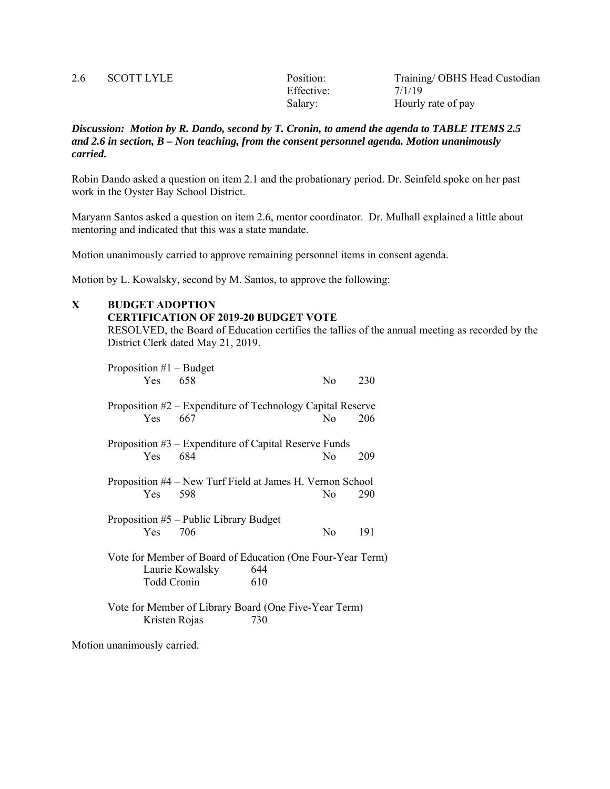| 2.6 | <b>SCOTT LYLE</b> | Position:  | Training/OBHS Head Custodian |
|-----|-------------------|------------|------------------------------|
|     |                   | Effective: | 7/1/19                       |
|     |                   | Salary:    | Hourly rate of pay           |

*Discussion: Motion by R. Dando, second by T. Cronin, to amend the agenda to TABLE ITEMS 2.5 and 2.6 in section, B – Non teaching, from the consent personnel agenda. Motion unanimously carried.* 

Robin Dando asked a question on item 2.1 and the probationary period. Dr. Seinfeld spoke on her past work in the Oyster Bay School District.

Maryann Santos asked a question on item 2.6, mentor coordinator. Dr. Mulhall explained a little about mentoring and indicated that this was a state mandate.

Motion unanimously carried to approve remaining personnel items in consent agenda.

Motion by L. Kowalsky, second by M. Santos, to approve the following:

#### **X BUDGET ADOPTION**

#### **CERTIFICATION OF 2019-20 BUDGET VOTE**

RESOLVED, the Board of Education certifies the tallies of the annual meeting as recorded by the District Clerk dated May 21, 2019.

| Proposition $#1$ – Budget |                                                            |     |                |     |
|---------------------------|------------------------------------------------------------|-----|----------------|-----|
| Yes 658                   |                                                            |     | No.            | 230 |
|                           | Proposition #2 - Expenditure of Technology Capital Reserve |     |                |     |
| Yes.                      | 667                                                        |     | N <sub>0</sub> | 206 |
|                           | Proposition $#3$ – Expenditure of Capital Reserve Funds    |     |                |     |
| Yes 684                   |                                                            |     | No             | 209 |
|                           | Proposition #4 – New Turf Field at James H. Vernon School  |     |                |     |
| Yes                       | 598                                                        |     | N <sub>0</sub> | 290 |
|                           | Proposition $#5$ – Public Library Budget                   |     |                |     |
| Yes 706                   |                                                            |     | No             | 191 |
|                           | Vote for Member of Board of Education (One Four-Year Term) |     |                |     |
|                           | Laurie Kowalsky                                            | 644 |                |     |
| <b>Todd Cronin</b>        |                                                            | 610 |                |     |
|                           | Vote for Member of Library Board (One Five-Year Term)      |     |                |     |
| Kristen Rojas             |                                                            | 730 |                |     |

Motion unanimously carried.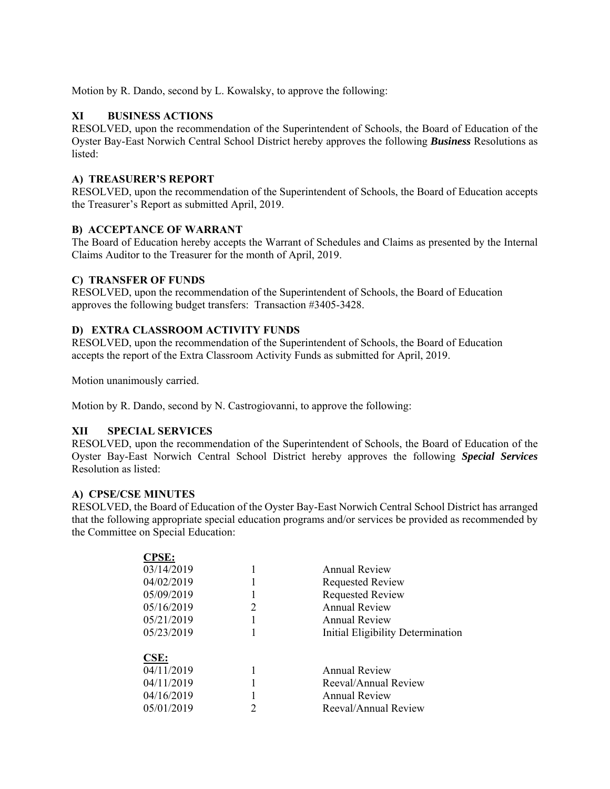Motion by R. Dando, second by L. Kowalsky, to approve the following:

# **XI BUSINESS ACTIONS**

RESOLVED, upon the recommendation of the Superintendent of Schools, the Board of Education of the Oyster Bay-East Norwich Central School District hereby approves the following *Business* Resolutions as listed:

### **A) TREASURER'S REPORT**

RESOLVED, upon the recommendation of the Superintendent of Schools, the Board of Education accepts the Treasurer's Report as submitted April, 2019.

## **B) ACCEPTANCE OF WARRANT**

The Board of Education hereby accepts the Warrant of Schedules and Claims as presented by the Internal Claims Auditor to the Treasurer for the month of April, 2019.

## **C) TRANSFER OF FUNDS**

RESOLVED, upon the recommendation of the Superintendent of Schools, the Board of Education approves the following budget transfers: Transaction #3405-3428.

## **D) EXTRA CLASSROOM ACTIVITY FUNDS**

RESOLVED, upon the recommendation of the Superintendent of Schools, the Board of Education accepts the report of the Extra Classroom Activity Funds as submitted for April, 2019.

Motion unanimously carried.

Motion by R. Dando, second by N. Castrogiovanni, to approve the following:

### **XII SPECIAL SERVICES**

RESOLVED, upon the recommendation of the Superintendent of Schools, the Board of Education of the Oyster Bay-East Norwich Central School District hereby approves the following *Special Services*  Resolution as listed:

### **A) CPSE/CSE MINUTES**

RESOLVED, the Board of Education of the Oyster Bay-East Norwich Central School District has arranged that the following appropriate special education programs and/or services be provided as recommended by the Committee on Special Education:

| <b>CPSE:</b> |                                   |
|--------------|-----------------------------------|
| 03/14/2019   | Annual Review                     |
| 04/02/2019   | <b>Requested Review</b>           |
| 05/09/2019   | <b>Requested Review</b>           |
| 05/16/2019   | Annual Review                     |
| 05/21/2019   | <b>Annual Review</b>              |
| 05/23/2019   | Initial Eligibility Determination |
|              |                                   |
| CSE:         |                                   |
| 04/11/2019   | <b>Annual Review</b>              |
| 04/11/2019   | Reeval/Annual Review              |
| 04/16/2019   | Annual Review                     |
| 05/01/2019   | Reeval/Annual Review              |
|              |                                   |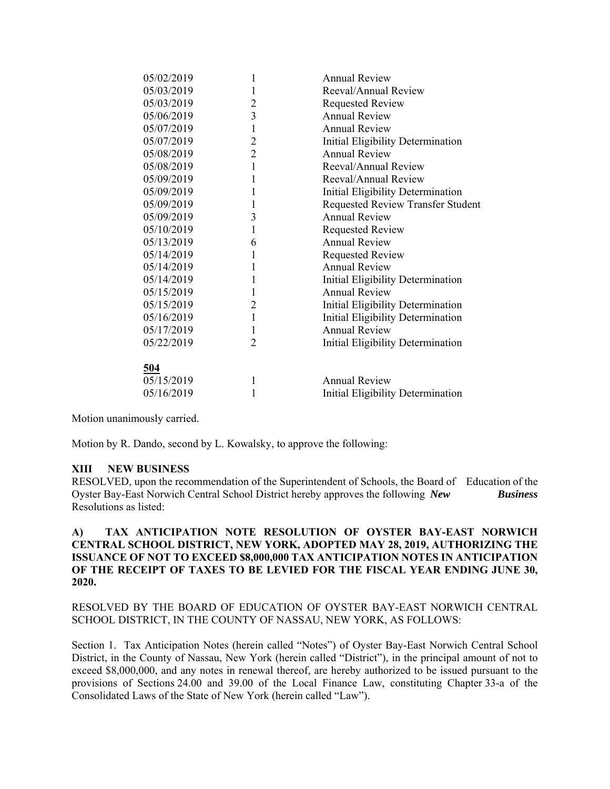| 05/02/2019 | 1              | <b>Annual Review</b>                     |
|------------|----------------|------------------------------------------|
| 05/03/2019 | 1              | Reeval/Annual Review                     |
| 05/03/2019 | $\overline{2}$ | <b>Requested Review</b>                  |
| 05/06/2019 | 3              | <b>Annual Review</b>                     |
| 05/07/2019 | $\mathbf{1}$   | <b>Annual Review</b>                     |
| 05/07/2019 | $\overline{2}$ | Initial Eligibility Determination        |
| 05/08/2019 | $\overline{2}$ | <b>Annual Review</b>                     |
| 05/08/2019 | $\mathbf{1}$   | Reeval/Annual Review                     |
| 05/09/2019 | $\mathbf{1}$   | Reeval/Annual Review                     |
| 05/09/2019 | $\mathbf{1}$   | Initial Eligibility Determination        |
| 05/09/2019 | 1              | <b>Requested Review Transfer Student</b> |
| 05/09/2019 | 3              | <b>Annual Review</b>                     |
| 05/10/2019 | $\mathbf{1}$   | <b>Requested Review</b>                  |
| 05/13/2019 | 6              | <b>Annual Review</b>                     |
| 05/14/2019 | $\mathbf{1}$   | <b>Requested Review</b>                  |
| 05/14/2019 | $\mathbf{1}$   | <b>Annual Review</b>                     |
| 05/14/2019 | $\mathbf{1}$   | Initial Eligibility Determination        |
| 05/15/2019 | 1              | <b>Annual Review</b>                     |
| 05/15/2019 | $\overline{2}$ | Initial Eligibility Determination        |
| 05/16/2019 | $\mathbf{1}$   | Initial Eligibility Determination        |
| 05/17/2019 | $\mathbf{1}$   | <b>Annual Review</b>                     |
| 05/22/2019 | $\overline{2}$ | Initial Eligibility Determination        |
|            |                |                                          |
| 504        |                |                                          |
| 05/15/2019 | 1              | <b>Annual Review</b>                     |
| 05/16/2019 | 1              | Initial Eligibility Determination        |
|            |                |                                          |

Motion unanimously carried.

Motion by R. Dando, second by L. Kowalsky, to approve the following:

### **XIII NEW BUSINESS**

RESOLVED, upon the recommendation of the Superintendent of Schools, the Board of Education of the Oyster Bay-East Norwich Central School District hereby approves the following *New Business* Resolutions as listed:

### **A) TAX ANTICIPATION NOTE RESOLUTION OF OYSTER BAY-EAST NORWICH CENTRAL SCHOOL DISTRICT, NEW YORK, ADOPTED MAY 28, 2019, AUTHORIZING THE ISSUANCE OF NOT TO EXCEED \$8,000,000 TAX ANTICIPATION NOTES IN ANTICIPATION OF THE RECEIPT OF TAXES TO BE LEVIED FOR THE FISCAL YEAR ENDING JUNE 30, 2020.**

RESOLVED BY THE BOARD OF EDUCATION OF OYSTER BAY-EAST NORWICH CENTRAL SCHOOL DISTRICT, IN THE COUNTY OF NASSAU, NEW YORK, AS FOLLOWS:

Section 1. Tax Anticipation Notes (herein called "Notes") of Oyster Bay-East Norwich Central School District, in the County of Nassau, New York (herein called "District"), in the principal amount of not to exceed \$8,000,000, and any notes in renewal thereof, are hereby authorized to be issued pursuant to the provisions of Sections 24.00 and 39.00 of the Local Finance Law, constituting Chapter 33-a of the Consolidated Laws of the State of New York (herein called "Law").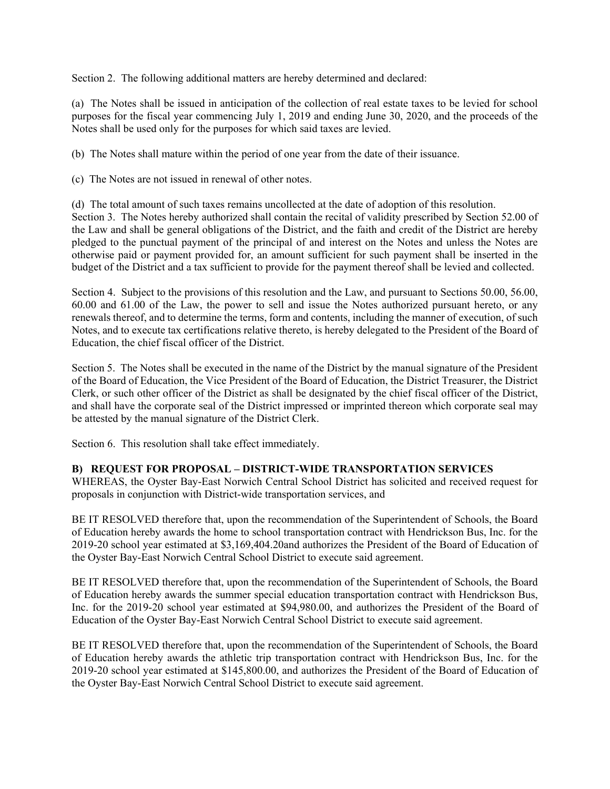Section 2. The following additional matters are hereby determined and declared:

(a) The Notes shall be issued in anticipation of the collection of real estate taxes to be levied for school purposes for the fiscal year commencing July 1, 2019 and ending June 30, 2020, and the proceeds of the Notes shall be used only for the purposes for which said taxes are levied.

(b) The Notes shall mature within the period of one year from the date of their issuance.

(c) The Notes are not issued in renewal of other notes.

(d) The total amount of such taxes remains uncollected at the date of adoption of this resolution. Section 3. The Notes hereby authorized shall contain the recital of validity prescribed by Section 52.00 of the Law and shall be general obligations of the District, and the faith and credit of the District are hereby pledged to the punctual payment of the principal of and interest on the Notes and unless the Notes are otherwise paid or payment provided for, an amount sufficient for such payment shall be inserted in the budget of the District and a tax sufficient to provide for the payment thereof shall be levied and collected.

Section 4. Subject to the provisions of this resolution and the Law, and pursuant to Sections 50.00, 56.00, 60.00 and 61.00 of the Law, the power to sell and issue the Notes authorized pursuant hereto, or any renewals thereof, and to determine the terms, form and contents, including the manner of execution, of such Notes, and to execute tax certifications relative thereto, is hereby delegated to the President of the Board of Education, the chief fiscal officer of the District.

Section 5. The Notes shall be executed in the name of the District by the manual signature of the President of the Board of Education, the Vice President of the Board of Education, the District Treasurer, the District Clerk, or such other officer of the District as shall be designated by the chief fiscal officer of the District, and shall have the corporate seal of the District impressed or imprinted thereon which corporate seal may be attested by the manual signature of the District Clerk.

Section 6. This resolution shall take effect immediately.

# **B) REQUEST FOR PROPOSAL – DISTRICT-WIDE TRANSPORTATION SERVICES**

WHEREAS, the Oyster Bay-East Norwich Central School District has solicited and received request for proposals in conjunction with District-wide transportation services, and

BE IT RESOLVED therefore that, upon the recommendation of the Superintendent of Schools, the Board of Education hereby awards the home to school transportation contract with Hendrickson Bus, Inc. for the 2019-20 school year estimated at \$3,169,404.20and authorizes the President of the Board of Education of the Oyster Bay-East Norwich Central School District to execute said agreement.

BE IT RESOLVED therefore that, upon the recommendation of the Superintendent of Schools, the Board of Education hereby awards the summer special education transportation contract with Hendrickson Bus, Inc. for the 2019-20 school year estimated at \$94,980.00, and authorizes the President of the Board of Education of the Oyster Bay-East Norwich Central School District to execute said agreement.

BE IT RESOLVED therefore that, upon the recommendation of the Superintendent of Schools, the Board of Education hereby awards the athletic trip transportation contract with Hendrickson Bus, Inc. for the 2019-20 school year estimated at \$145,800.00, and authorizes the President of the Board of Education of the Oyster Bay-East Norwich Central School District to execute said agreement.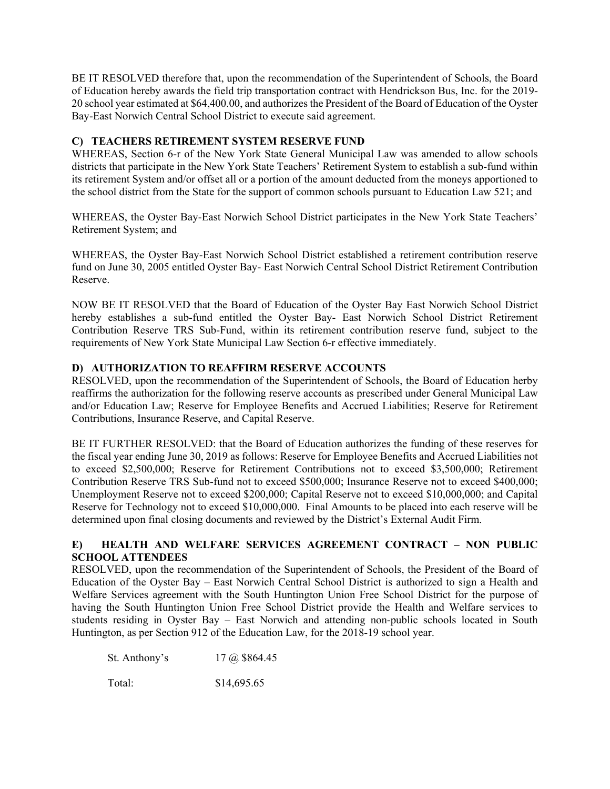BE IT RESOLVED therefore that, upon the recommendation of the Superintendent of Schools, the Board of Education hereby awards the field trip transportation contract with Hendrickson Bus, Inc. for the 2019- 20 school year estimated at \$64,400.00, and authorizes the President of the Board of Education of the Oyster Bay-East Norwich Central School District to execute said agreement.

## **C) TEACHERS RETIREMENT SYSTEM RESERVE FUND**

WHEREAS, Section 6-r of the New York State General Municipal Law was amended to allow schools districts that participate in the New York State Teachers' Retirement System to establish a sub-fund within its retirement System and/or offset all or a portion of the amount deducted from the moneys apportioned to the school district from the State for the support of common schools pursuant to Education Law 521; and

WHEREAS, the Oyster Bay-East Norwich School District participates in the New York State Teachers' Retirement System; and

WHEREAS, the Oyster Bay-East Norwich School District established a retirement contribution reserve fund on June 30, 2005 entitled Oyster Bay- East Norwich Central School District Retirement Contribution Reserve.

NOW BE IT RESOLVED that the Board of Education of the Oyster Bay East Norwich School District hereby establishes a sub-fund entitled the Oyster Bay- East Norwich School District Retirement Contribution Reserve TRS Sub-Fund, within its retirement contribution reserve fund, subject to the requirements of New York State Municipal Law Section 6-r effective immediately.

## **D) AUTHORIZATION TO REAFFIRM RESERVE ACCOUNTS**

RESOLVED, upon the recommendation of the Superintendent of Schools, the Board of Education herby reaffirms the authorization for the following reserve accounts as prescribed under General Municipal Law and/or Education Law; Reserve for Employee Benefits and Accrued Liabilities; Reserve for Retirement Contributions, Insurance Reserve, and Capital Reserve.

BE IT FURTHER RESOLVED: that the Board of Education authorizes the funding of these reserves for the fiscal year ending June 30, 2019 as follows: Reserve for Employee Benefits and Accrued Liabilities not to exceed \$2,500,000; Reserve for Retirement Contributions not to exceed \$3,500,000; Retirement Contribution Reserve TRS Sub-fund not to exceed \$500,000; Insurance Reserve not to exceed \$400,000; Unemployment Reserve not to exceed \$200,000; Capital Reserve not to exceed \$10,000,000; and Capital Reserve for Technology not to exceed \$10,000,000. Final Amounts to be placed into each reserve will be determined upon final closing documents and reviewed by the District's External Audit Firm.

# **E) HEALTH AND WELFARE SERVICES AGREEMENT CONTRACT – NON PUBLIC SCHOOL ATTENDEES**

RESOLVED, upon the recommendation of the Superintendent of Schools, the President of the Board of Education of the Oyster Bay – East Norwich Central School District is authorized to sign a Health and Welfare Services agreement with the South Huntington Union Free School District for the purpose of having the South Huntington Union Free School District provide the Health and Welfare services to students residing in Oyster Bay – East Norwich and attending non-public schools located in South Huntington, as per Section 912 of the Education Law, for the 2018-19 school year.

St. Anthony's 17 @ \$864.45

Total: \$14,695.65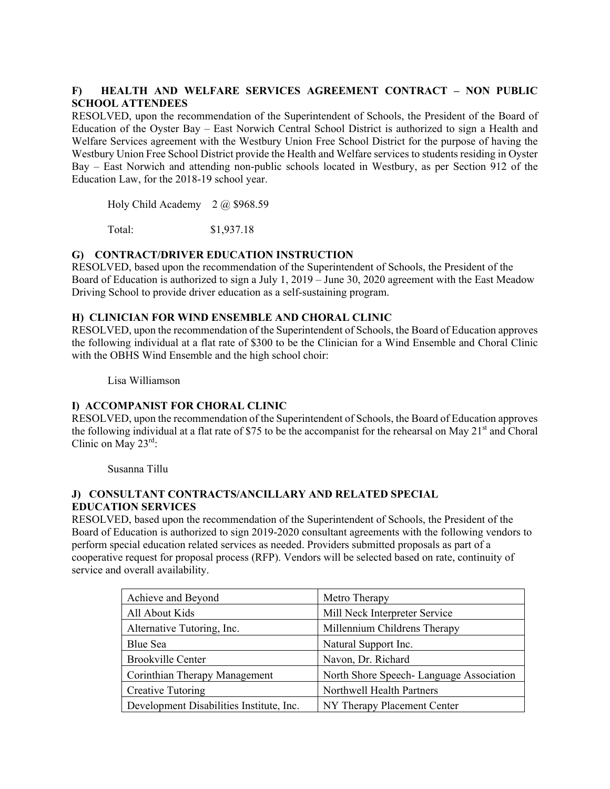# **F) HEALTH AND WELFARE SERVICES AGREEMENT CONTRACT – NON PUBLIC SCHOOL ATTENDEES**

RESOLVED, upon the recommendation of the Superintendent of Schools, the President of the Board of Education of the Oyster Bay – East Norwich Central School District is authorized to sign a Health and Welfare Services agreement with the Westbury Union Free School District for the purpose of having the Westbury Union Free School District provide the Health and Welfare services to students residing in Oyster Bay – East Norwich and attending non-public schools located in Westbury, as per Section 912 of the Education Law, for the 2018-19 school year.

Holy Child Academy 2 @ \$968.59

Total: \$1,937.18

## **G) CONTRACT/DRIVER EDUCATION INSTRUCTION**

RESOLVED, based upon the recommendation of the Superintendent of Schools, the President of the Board of Education is authorized to sign a July 1, 2019 – June 30, 2020 agreement with the East Meadow Driving School to provide driver education as a self-sustaining program.

### **H) CLINICIAN FOR WIND ENSEMBLE AND CHORAL CLINIC**

RESOLVED, upon the recommendation of the Superintendent of Schools, the Board of Education approves the following individual at a flat rate of \$300 to be the Clinician for a Wind Ensemble and Choral Clinic with the OBHS Wind Ensemble and the high school choir:

Lisa Williamson

# **I) ACCOMPANIST FOR CHORAL CLINIC**

RESOLVED, upon the recommendation of the Superintendent of Schools, the Board of Education approves the following individual at a flat rate of \$75 to be the accompanist for the rehearsal on May  $21<sup>st</sup>$  and Choral Clinic on May  $23^{\text{rd}}$ :

Susanna Tillu

### **J) CONSULTANT CONTRACTS/ANCILLARY AND RELATED SPECIAL EDUCATION SERVICES**

RESOLVED, based upon the recommendation of the Superintendent of Schools, the President of the Board of Education is authorized to sign 2019-2020 consultant agreements with the following vendors to perform special education related services as needed. Providers submitted proposals as part of a cooperative request for proposal process (RFP). Vendors will be selected based on rate, continuity of service and overall availability.

| Achieve and Beyond                       | Metro Therapy                            |
|------------------------------------------|------------------------------------------|
| All About Kids                           | Mill Neck Interpreter Service            |
| Alternative Tutoring, Inc.               | Millennium Childrens Therapy             |
| Blue Sea                                 | Natural Support Inc.                     |
| <b>Brookville Center</b>                 | Navon, Dr. Richard                       |
| Corinthian Therapy Management            | North Shore Speech- Language Association |
| <b>Creative Tutoring</b>                 | Northwell Health Partners                |
| Development Disabilities Institute, Inc. | NY Therapy Placement Center              |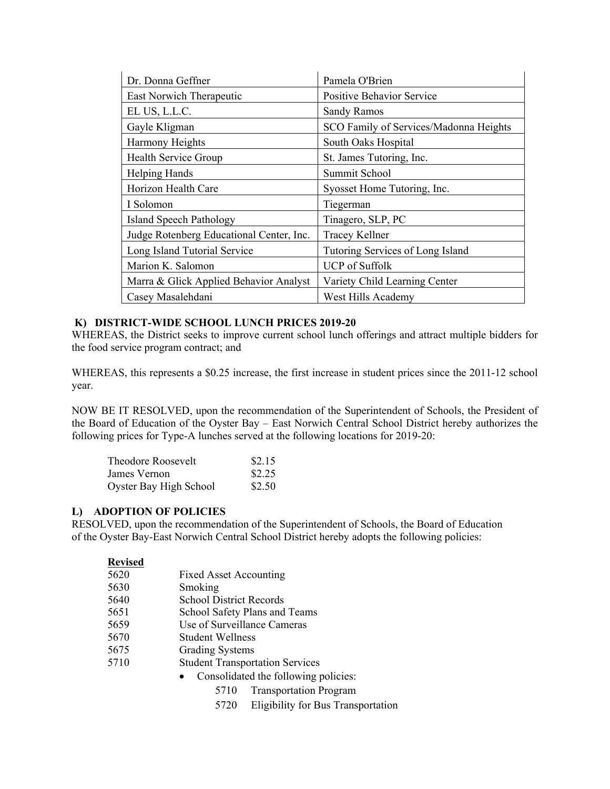| Dr. Donna Geffner                        | Pamela O'Brien                         |
|------------------------------------------|----------------------------------------|
| East Norwich Therapeutic                 | <b>Positive Behavior Service</b>       |
| EL US, L.L.C.                            | <b>Sandy Ramos</b>                     |
| Gayle Kligman                            | SCO Family of Services/Madonna Heights |
| Harmony Heights                          | South Oaks Hospital                    |
| Health Service Group                     | St. James Tutoring, Inc.               |
| <b>Helping Hands</b>                     | Summit School                          |
| Horizon Health Care                      | Syosset Home Tutoring, Inc.            |
| I Solomon                                | Tiegerman                              |
| <b>Island Speech Pathology</b>           | Tinagero, SLP, PC                      |
| Judge Rotenberg Educational Center, Inc. | <b>Tracey Kellner</b>                  |
| Long Island Tutorial Service             | Tutoring Services of Long Island       |
| Marion K. Salomon                        | <b>UCP</b> of Suffolk                  |
| Marra & Glick Applied Behavior Analyst   | Variety Child Learning Center          |
| Casey Masalehdani                        | West Hills Academy                     |

## **K) DISTRICT-WIDE SCHOOL LUNCH PRICES 2019-20**

WHEREAS, the District seeks to improve current school lunch offerings and attract multiple bidders for the food service program contract; and

WHEREAS, this represents a \$0.25 increase, the first increase in student prices since the 2011-12 school year.

NOW BE IT RESOLVED, upon the recommendation of the Superintendent of Schools, the President of the Board of Education of the Oyster Bay – East Norwich Central School District hereby authorizes the following prices for Type-A lunches served at the following locations for 2019-20:

| Theodore Roosevelt     | \$2.15 |
|------------------------|--------|
| James Vernon           | \$2.25 |
| Oyster Bay High School | \$2.50 |

### **L) ADOPTION OF POLICIES**

RESOLVED, upon the recommendation of the Superintendent of Schools, the Board of Education of the Oyster Bay-East Norwich Central School District hereby adopts the following policies:

| <b>Revised</b> |                                        |
|----------------|----------------------------------------|
| 5620           | <b>Fixed Asset Accounting</b>          |
| 5630           | Smoking                                |
| 5640           | <b>School District Records</b>         |
| 5651           | School Safety Plans and Teams          |
| 5659           | Use of Surveillance Cameras            |
| 5670           | Student Wellness                       |
| 5675           | <b>Grading Systems</b>                 |
| 5710           | <b>Student Transportation Services</b> |
|                | Consolidated the following policies:   |
|                | <b>Transportation Program</b><br>5710  |

5720 Eligibility for Bus Transportation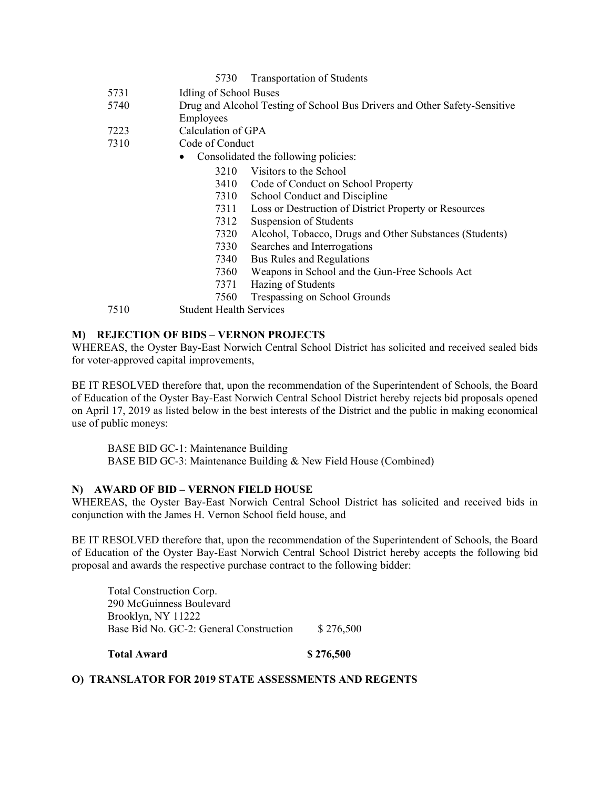#### 5730 Transportation of Students

- 5731 Idling of School Buses
- 5740 Drug and Alcohol Testing of School Bus Drivers and Other Safety-Sensitive Employees
- 7223 Calculation of GPA
- 7310 Code of Conduct
	- Consolidated the following policies:
		- 3210 Visitors to the School
		- 3410 Code of Conduct on School Property
		- 7310 School Conduct and Discipline
		- 7311 Loss or Destruction of District Property or Resources
		- 7312 Suspension of Students
		- 7320 Alcohol, Tobacco, Drugs and Other Substances (Students)
		- 7330 Searches and Interrogations
		- 7340 Bus Rules and Regulations
		- 7360 Weapons in School and the Gun-Free Schools Act
		- 7371 Hazing of Students
		- 7560 Trespassing on School Grounds
- 7510 Student Health Services

### **M) REJECTION OF BIDS – VERNON PROJECTS**

WHEREAS, the Oyster Bay-East Norwich Central School District has solicited and received sealed bids for voter-approved capital improvements,

BE IT RESOLVED therefore that, upon the recommendation of the Superintendent of Schools, the Board of Education of the Oyster Bay-East Norwich Central School District hereby rejects bid proposals opened on April 17, 2019 as listed below in the best interests of the District and the public in making economical use of public moneys:

BASE BID GC-1: Maintenance Building BASE BID GC-3: Maintenance Building & New Field House (Combined)

#### **N) AWARD OF BID – VERNON FIELD HOUSE**

WHEREAS, the Oyster Bay-East Norwich Central School District has solicited and received bids in conjunction with the James H. Vernon School field house, and

BE IT RESOLVED therefore that, upon the recommendation of the Superintendent of Schools, the Board of Education of the Oyster Bay-East Norwich Central School District hereby accepts the following bid proposal and awards the respective purchase contract to the following bidder:

Total Construction Corp. 290 McGuinness Boulevard Brooklyn, NY 11222 Base Bid No. GC-2: General Construction \$276,500

**Total Award \$ 276,500** 

### **O) TRANSLATOR FOR 2019 STATE ASSESSMENTS AND REGENTS**